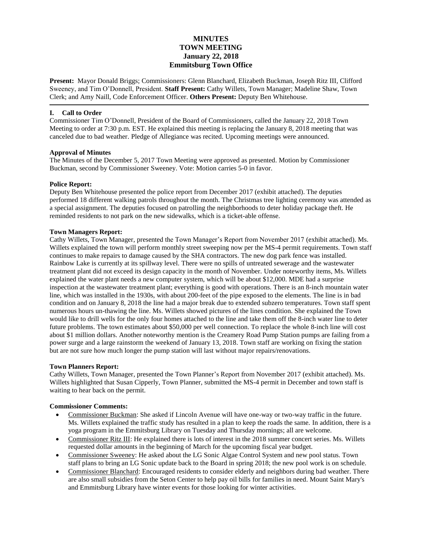# **MINUTES TOWN MEETING January 22, 2018 Emmitsburg Town Office**

**Present:** Mayor Donald Briggs; Commissioners: Glenn Blanchard, Elizabeth Buckman, Joseph Ritz III, Clifford Sweeney, and Tim O'Donnell, President. **Staff Present:** Cathy Willets, Town Manager; Madeline Shaw, Town Clerk; and Amy Naill, Code Enforcement Officer. **Others Present:** Deputy Ben Whitehouse.

### **I. Call to Order**

Commissioner Tim O'Donnell, President of the Board of Commissioners, called the January 22, 2018 Town Meeting to order at 7:30 p.m. EST. He explained this meeting is replacing the January 8, 2018 meeting that was canceled due to bad weather. Pledge of Allegiance was recited. Upcoming meetings were announced.

### **Approval of Minutes**

The Minutes of the December 5, 2017 Town Meeting were approved as presented. Motion by Commissioner Buckman, second by Commissioner Sweeney. Vote: Motion carries 5-0 in favor.

### **Police Report:**

Deputy Ben Whitehouse presented the police report from December 2017 (exhibit attached). The deputies performed 18 different walking patrols throughout the month. The Christmas tree lighting ceremony was attended as a special assignment. The deputies focused on patrolling the neighborhoods to deter holiday package theft. He reminded residents to not park on the new sidewalks, which is a ticket-able offense.

### **Town Managers Report:**

Cathy Willets, Town Manager, presented the Town Manager's Report from November 2017 (exhibit attached). Ms. Willets explained the town will perform monthly street sweeping now per the MS-4 permit requirements. Town staff continues to make repairs to damage caused by the SHA contractors. The new dog park fence was installed. Rainbow Lake is currently at its spillway level. There were no spills of untreated sewerage and the wastewater treatment plant did not exceed its design capacity in the month of November. Under noteworthy items, Ms. Willets explained the water plant needs a new computer system, which will be about \$12,000. MDE had a surprise inspection at the wastewater treatment plant; everything is good with operations. There is an 8-inch mountain water line, which was installed in the 1930s, with about 200-feet of the pipe exposed to the elements. The line is in bad condition and on January 8, 2018 the line had a major break due to extended subzero temperatures. Town staff spent numerous hours un-thawing the line. Ms. Willets showed pictures of the lines condition. She explained the Town would like to drill wells for the only four homes attached to the line and take them off the 8-inch water line to deter future problems. The town estimates about \$50,000 per well connection. To replace the whole 8-inch line will cost about \$1 million dollars. Another noteworthy mention is the Creamery Road Pump Station pumps are failing from a power surge and a large rainstorm the weekend of January 13, 2018. Town staff are working on fixing the station but are not sure how much longer the pump station will last without major repairs/renovations.

### **Town Planners Report:**

Cathy Willets, Town Manager, presented the Town Planner's Report from November 2017 (exhibit attached). Ms. Willets highlighted that Susan Cipperly, Town Planner, submitted the MS-4 permit in December and town staff is waiting to hear back on the permit.

### **Commissioner Comments:**

- Commissioner Buckman: She asked if Lincoln Avenue will have one-way or two-way traffic in the future. Ms. Willets explained the traffic study has resulted in a plan to keep the roads the same. In addition, there is a yoga program in the Emmitsburg Library on Tuesday and Thursday mornings; all are welcome.
- Commissioner Ritz III: He explained there is lots of interest in the 2018 summer concert series. Ms. Willets requested dollar amounts in the beginning of March for the upcoming fiscal year budget.
- Commissioner Sweeney: He asked about the LG Sonic Algae Control System and new pool status. Town staff plans to bring an LG Sonic update back to the Board in spring 2018; the new pool work is on schedule.
- Commissioner Blanchard: Encouraged residents to consider elderly and neighbors during bad weather. There are also small subsidies from the Seton Center to help pay oil bills for families in need. Mount Saint Mary's and Emmitsburg Library have winter events for those looking for winter activities.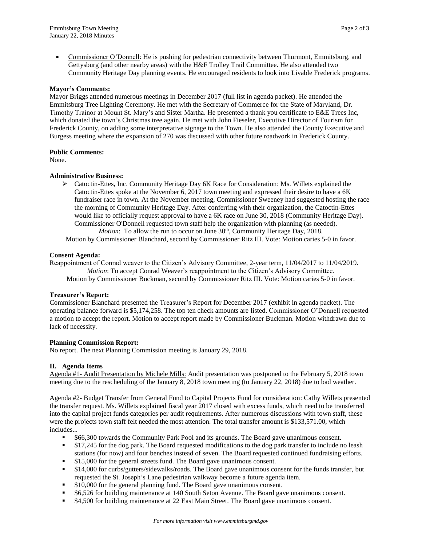Commissioner O'Donnell: He is pushing for pedestrian connectivity between Thurmont, Emmitsburg, and Gettysburg (and other nearby areas) with the H&F Trolley Trail Committee. He also attended two Community Heritage Day planning events. He encouraged residents to look into Livable Frederick programs.

### **Mayor's Comments:**

Mayor Briggs attended numerous meetings in December 2017 (full list in agenda packet). He attended the Emmitsburg Tree Lighting Ceremony. He met with the Secretary of Commerce for the State of Maryland, Dr. Timothy Trainor at Mount St. Mary's and Sister Martha. He presented a thank you certificate to E&E Trees Inc, which donated the town's Christmas tree again. He met with John Fieseler, Executive Director of Tourism for Frederick County, on adding some interpretative signage to the Town. He also attended the County Executive and Burgess meeting where the expansion of 270 was discussed with other future roadwork in Frederick County.

### **Public Comments:**

None.

### **Administrative Business:**

 $\triangleright$  Catoctin-Ettes, Inc. Community Heritage Day 6K Race for Consideration: Ms. Willets explained the Catoctin-Ettes spoke at the November 6, 2017 town meeting and expressed their desire to have a 6K fundraiser race in town. At the November meeting, Commissioner Sweeney had suggested hosting the race the morning of Community Heritage Day. After conferring with their organization, the Catoctin-Ettes would like to officially request approval to have a 6K race on June 30, 2018 (Community Heritage Day). Commissioner O'Donnell requested town staff help the organization with planning (as needed). *Motion*: To allow the run to occur on June 30<sup>th</sup>, Community Heritage Day, 2018.

Motion by Commissioner Blanchard, second by Commissioner Ritz III. Vote: Motion caries 5-0 in favor.

### **Consent Agenda:**

Reappointment of Conrad weaver to the Citizen's Advisory Committee, 2-year term, 11/04/2017 to 11/04/2019. *Motion*: To accept Conrad Weaver's reappointment to the Citizen's Advisory Committee. Motion by Commissioner Buckman, second by Commissioner Ritz III. Vote: Motion caries 5-0 in favor.

### **Treasurer's Report:**

Commissioner Blanchard presented the Treasurer's Report for December 2017 (exhibit in agenda packet). The operating balance forward is \$5,174,258. The top ten check amounts are listed. Commissioner O'Donnell requested a motion to accept the report. Motion to accept report made by Commissioner Buckman. Motion withdrawn due to lack of necessity.

### **Planning Commission Report:**

No report. The next Planning Commission meeting is January 29, 2018.

## **II. Agenda Items**

Agenda #1- Audit Presentation by Michele Mills: Audit presentation was postponed to the February 5, 2018 town meeting due to the rescheduling of the January 8, 2018 town meeting (to January 22, 2018) due to bad weather.

Agenda #2- Budget Transfer from General Fund to Capital Projects Fund for consideration: Cathy Willets presented the transfer request. Ms. Willets explained fiscal year 2017 closed with excess funds, which need to be transferred into the capital project funds categories per audit requirements. After numerous discussions with town staff, these were the projects town staff felt needed the most attention. The total transfer amount is \$133,571.00, which includes...

- \$66,300 towards the Community Park Pool and its grounds. The Board gave unanimous consent.
- **517,245 for the dog park. The Board requested modifications to the dog park transfer to include no leash** stations (for now) and four benches instead of seven. The Board requested continued fundraising efforts.
- \$15,000 for the general streets fund. The Board gave unanimous consent.
- \$14,000 for curbs/gutters/sidewalks/roads. The Board gave unanimous consent for the funds transfer, but requested the St. Joseph's Lane pedestrian walkway become a future agenda item.
- \$10,000 for the general planning fund. The Board gave unanimous consent.
- \$6,526 for building maintenance at 140 South Seton Avenue. The Board gave unanimous consent.
- \$4,500 for building maintenance at 22 East Main Street. The Board gave unanimous consent.